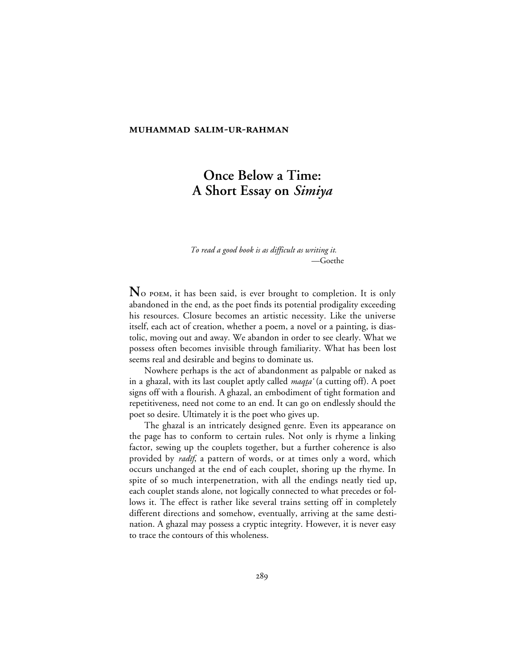#### **MUHAMMAD SALIM-UR-RAHMAN**

# **Once Below a Time: A Short Essay on** *Simiya*

*To read a good book is as difficult as writing it.* —Goethe

 $\bf{N}$  o poem, it has been said, is ever brought to completion. It is only abandoned in the end, as the poet finds its potential prodigality exceeding his resources. Closure becomes an artistic necessity. Like the universe itself, each act of creation, whether a poem, a novel or a painting, is diastolic, moving out and away. We abandon in order to see clearly. What we possess often becomes invisible through familiarity. What has been lost seems real and desirable and begins to dominate us.

Nowhere perhaps is the act of abandonment as palpable or naked as in a ghazal, with its last couplet aptly called *maqta* '(a cutting off). A poet signs off with a flourish. A ghazal, an embodiment of tight formation and repetitiveness, need not come to an end. It can go on endlessly should the poet so desire. Ultimately it is the poet who gives up.

The ghazal is an intricately designed genre. Even its appearance on the page has to conform to certain rules. Not only is rhyme a linking factor, sewing up the couplets together, but a further coherence is also provided by *radif*, a pattern of words, or at times only a word, which occurs unchanged at the end of each couplet, shoring up the rhyme. In spite of so much interpenetration, with all the endings neatly tied up, each couplet stands alone, not logically connected to what precedes or follows it. The effect is rather like several trains setting off in completely different directions and somehow, eventually, arriving at the same destination. A ghazal may possess a cryptic integrity. However, it is never easy to trace the contours of this wholeness.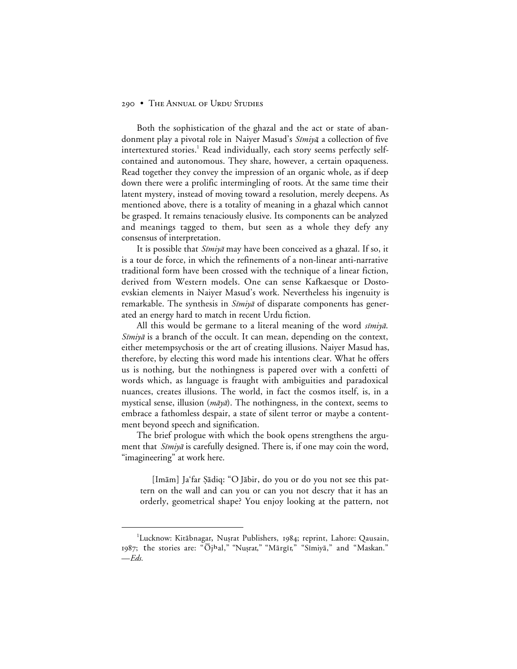Both the sophistication of the ghazal and the act or state of abandonment play a pivotal role in Naiyer Masud's Simiya, a collection of five intertextured stories.<sup>1</sup> Read individually, each story seems perfectly selfcontained and autonomous. They share, however, a certain opaqueness. Read together they convey the impression of an organic whole, as if deep down there were a prolific intermingling of roots. At the same time their latent mystery, instead of moving toward a resolution, merely deepens. As mentioned above, there is a totality of meaning in a ghazal which cannot be grasped. It remains tenaciously elusive. Its components can be analyzed and meanings tagged to them, but seen as a whole they defy any consensus of interpretation.

It is possible that *Sīmiyā* may have been conceived as a ghazal. If so, it is a tour de force, in which the refinements of a non-linear anti-narrative traditional form have been crossed with the technique of a linear fiction, derived from Western models. One can sense Kafkaesque or Dostoevskian elements in Naiyer Masud's work. Nevertheless his ingenuity is remarkable. The synthesis in *Sīmiyā* of disparate components has generated an energy hard to match in recent Urdu fiction.

All this would be germane to a literal meaning of the word  $\sin \theta$ . Simiyā is a branch of the occult. It can mean, depending on the context, either metempsychosis or the art of creating illusions. Naiyer Masud has, therefore, by electing this word made his intentions clear. What he offers us is nothing, but the nothingness is papered over with a confetti of words which, as language is fraught with ambiguities and paradoxical nuances, creates illusions. The world, in fact the cosmos itself, is, in a mystical sense, illusion ( $m\bar{a}y\bar{a}$ ). The nothingness, in the context, seems to embrace a fathomless despair, a state of silent terror or maybe a contentment beyond speech and signification.

The brief prologue with which the book opens strengthens the argument that *Sīmiyā* is carefully designed. There is, if one may coin the word, "imagineering" at work here.

[Imām] Ja'far Şādiq: "O Jābir, do you or do you not see this pattern on the wall and can you or can you not descry that it has an orderly, geometrical shape? You enjoy looking at the pattern, not

 <sup>1</sup> <sup>1</sup>Lucknow: Kitābnagar, Nușrat Publishers, 1984; reprint, Lahore: Qausain, 1987; the stories are: "Ōjhal," "Nuṣrat," "Mārgīr," "Sīmiyā," and "Maskan." —*Eds.*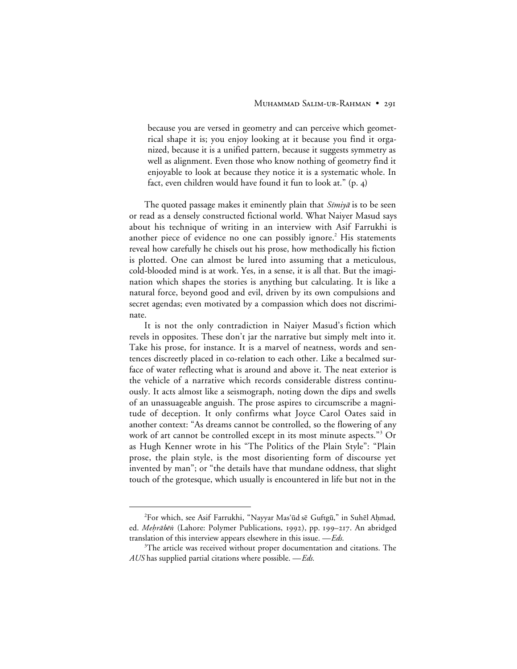because you are versed in geometry and can perceive which geometrical shape it is; you enjoy looking at it because you find it organized, because it is a unified pattern, because it suggests symmetry as well as alignment. Even those who know nothing of geometry find it enjoyable to look at because they notice it is a systematic whole. In fact, even children would have found it fun to look at."  $(p, 4)$ 

The quoted passage makes it eminently plain that *Sīmiyā* is to be seen or read as a densely constructed fictional world. What Naiyer Masud says about his technique of writing in an interview with Asif Farrukhi is another piece of evidence no one can possibly ignore.<sup>2</sup> His statements reveal how carefully he chisels out his prose, how methodically his fiction is plotted. One can almost be lured into assuming that a meticulous, cold-blooded mind is at work. Yes, in a sense, it is all that. But the imagination which shapes the stories is anything but calculating. It is like a natural force, beyond good and evil, driven by its own compulsions and secret agendas; even motivated by a compassion which does not discriminate.

It is not the only contradiction in Naiyer Masud's fiction which revels in opposites. These don't jar the narrative but simply melt into it. Take his prose, for instance. It is a marvel of neatness, words and sentences discreetly placed in co-relation to each other. Like a becalmed surface of water reflecting what is around and above it. The neat exterior is the vehicle of a narrative which records considerable distress continuously. It acts almost like a seismograph, noting down the dips and swells of an unassuageable anguish. The prose aspires to circumscribe a magnitude of deception. It only confirms what Joyce Carol Oates said in another context: "As dreams cannot be controlled, so the flowering of any work of art cannot be controlled except in its most minute aspects."<sup>3</sup> Or as Hugh Kenner wrote in his "The Politics of the Plain Style": "Plain prose, the plain style, is the most disorienting form of discourse yet invented by man"; or "the details have that mundane oddness, that slight touch of the grotesque, which usually is encountered in life but not in the

 $\overline{a}$ <sup>2</sup>For which, see Asif Farrukhi, "Nayyar Mas'ūd sē Guftgū," in Suhēl Ahmad, ed. Mehrābēn (Lahore: Polymer Publications, 1992), pp. 199–217. An abridged translation of this interview appears elsewhere in this issue. —*Eds.*

 $3$ The article was received without proper documentation and citations. The *AUS* has supplied partial citations where possible. —*Eds.*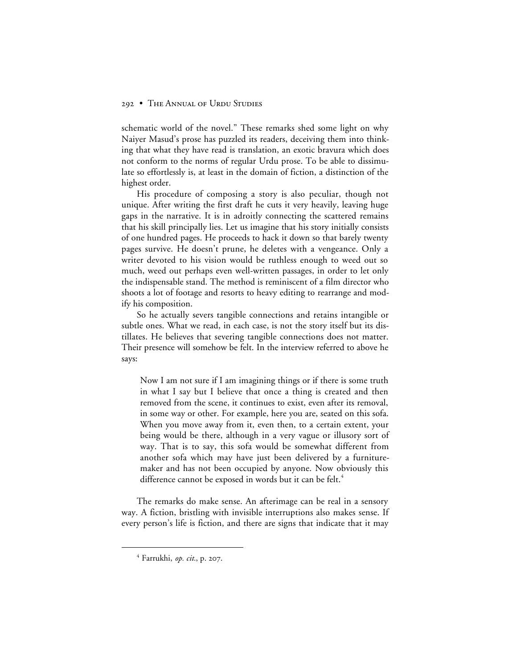schematic world of the novel." These remarks shed some light on why Naiyer Masud's prose has puzzled its readers, deceiving them into thinking that what they have read is translation, an exotic bravura which does not conform to the norms of regular Urdu prose. To be able to dissimulate so effortlessly is, at least in the domain of fiction, a distinction of the highest order.

His procedure of composing a story is also peculiar, though not unique. After writing the first draft he cuts it very heavily, leaving huge gaps in the narrative. It is in adroitly connecting the scattered remains that his skill principally lies. Let us imagine that his story initially consists of one hundred pages. He proceeds to hack it down so that barely twenty pages survive. He doesn't prune, he deletes with a vengeance. Only a writer devoted to his vision would be ruthless enough to weed out so much, weed out perhaps even well-written passages, in order to let only the indispensable stand. The method is reminiscent of a film director who shoots a lot of footage and resorts to heavy editing to rearrange and modify his composition.

So he actually severs tangible connections and retains intangible or subtle ones. What we read, in each case, is not the story itself but its distillates. He believes that severing tangible connections does not matter. Their presence will somehow be felt. In the interview referred to above he says:

Now I am not sure if I am imagining things or if there is some truth in what I say but I believe that once a thing is created and then removed from the scene, it continues to exist, even after its removal, in some way or other. For example, here you are, seated on this sofa. When you move away from it, even then, to a certain extent, your being would be there, although in a very vague or illusory sort of way. That is to say, this sofa would be somewhat different from another sofa which may have just been delivered by a furnituremaker and has not been occupied by anyone. Now obviously this difference cannot be exposed in words but it can be felt.<sup>4</sup>

The remarks do make sense. An afterimage can be real in a sensory way. A fiction, bristling with invisible interruptions also makes sense. If every person's life is fiction, and there are signs that indicate that it may

 $<sup>4</sup>$  Farrukhi, *op. cit.*, p. 207.</sup>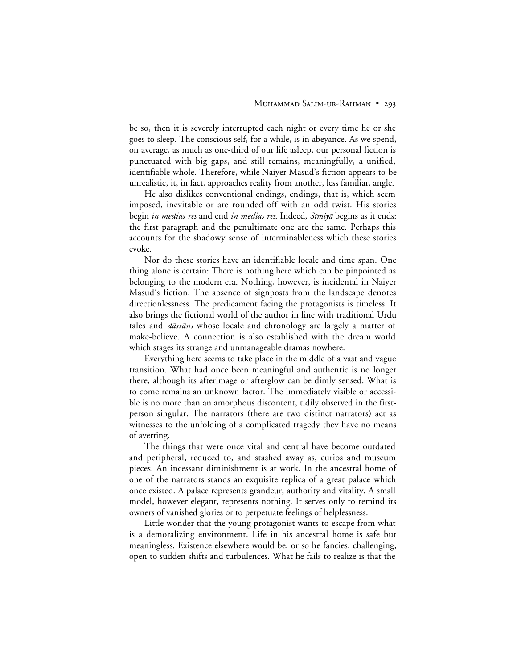be so, then it is severely interrupted each night or every time he or she goes to sleep. The conscious self, for a while, is in abeyance. As we spend, on average, as much as one-third of our life asleep, our personal fiction is punctuated with big gaps, and still remains, meaningfully, a unified, identifiable whole. Therefore, while Naiyer Masud's fiction appears to be unrealistic, it, in fact, approaches reality from another, less familiar, angle.

He also dislikes conventional endings, endings, that is, which seem imposed, inevitable or are rounded off with an odd twist. His stories begin *in medias res* and end *in medias res*. Indeed, *Sīmiyā* begins as it ends: the first paragraph and the penultimate one are the same. Perhaps this accounts for the shadowy sense of interminableness which these stories evoke.

Nor do these stories have an identifiable locale and time span. One thing alone is certain: There is nothing here which can be pinpointed as belonging to the modern era. Nothing, however, is incidental in Naiyer Masud's fiction. The absence of signposts from the landscape denotes directionlessness. The predicament facing the protagonists is timeless. It also brings the fictional world of the author in line with traditional Urdu tales and *dāstāns* whose locale and chronology are largely a matter of make-believe. A connection is also established with the dream world which stages its strange and unmanageable dramas nowhere.

Everything here seems to take place in the middle of a vast and vague transition. What had once been meaningful and authentic is no longer there, although its afterimage or afterglow can be dimly sensed. What is to come remains an unknown factor. The immediately visible or accessible is no more than an amorphous discontent, tidily observed in the firstperson singular. The narrators (there are two distinct narrators) act as witnesses to the unfolding of a complicated tragedy they have no means of averting.

The things that were once vital and central have become outdated and peripheral, reduced to, and stashed away as, curios and museum pieces. An incessant diminishment is at work. In the ancestral home of one of the narrators stands an exquisite replica of a great palace which once existed. A palace represents grandeur, authority and vitality. A small model, however elegant, represents nothing. It serves only to remind its owners of vanished glories or to perpetuate feelings of helplessness.

Little wonder that the young protagonist wants to escape from what is a demoralizing environment. Life in his ancestral home is safe but meaningless. Existence elsewhere would be, or so he fancies, challenging, open to sudden shifts and turbulences. What he fails to realize is that the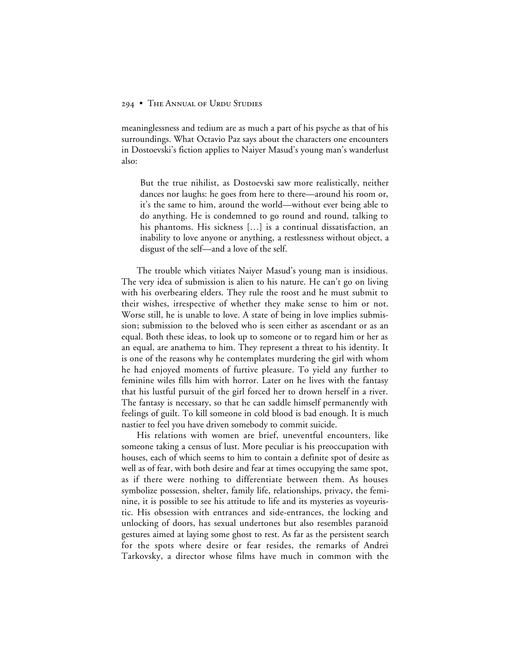meaninglessness and tedium are as much a part of his psyche as that of his surroundings. What Octavio Paz says about the characters one encounters in Dostoevski's fiction applies to Naiyer Masud's young man's wanderlust also:

But the true nihilist, as Dostoevski saw more realistically, neither dances nor laughs: he goes from here to there—around his room or, it's the same to him, around the world—without ever being able to do anything. He is condemned to go round and round, talking to his phantoms. His sickness […] is a continual dissatisfaction, an inability to love anyone or anything, a restlessness without object, a disgust of the self—and a love of the self.

The trouble which vitiates Naiyer Masud's young man is insidious. The very idea of submission is alien to his nature. He can't go on living with his overbearing elders. They rule the roost and he must submit to their wishes, irrespective of whether they make sense to him or not. Worse still, he is unable to love. A state of being in love implies submission; submission to the beloved who is seen either as ascendant or as an equal. Both these ideas, to look up to someone or to regard him or her as an equal, are anathema to him. They represent a threat to his identity. It is one of the reasons why he contemplates murdering the girl with whom he had enjoyed moments of furtive pleasure. To yield any further to feminine wiles fills him with horror. Later on he lives with the fantasy that his lustful pursuit of the girl forced her to drown herself in a river. The fantasy is necessary, so that he can saddle himself permanently with feelings of guilt. To kill someone in cold blood is bad enough. It is much nastier to feel you have driven somebody to commit suicide.

His relations with women are brief, uneventful encounters, like someone taking a census of lust. More peculiar is his preoccupation with houses, each of which seems to him to contain a definite spot of desire as well as of fear, with both desire and fear at times occupying the same spot, as if there were nothing to differentiate between them. As houses symbolize possession, shelter, family life, relationships, privacy, the feminine, it is possible to see his attitude to life and its mysteries as voyeuristic. His obsession with entrances and side-entrances, the locking and unlocking of doors, has sexual undertones but also resembles paranoid gestures aimed at laying some ghost to rest. As far as the persistent search for the spots where desire or fear resides, the remarks of Andrei Tarkovsky, a director whose films have much in common with the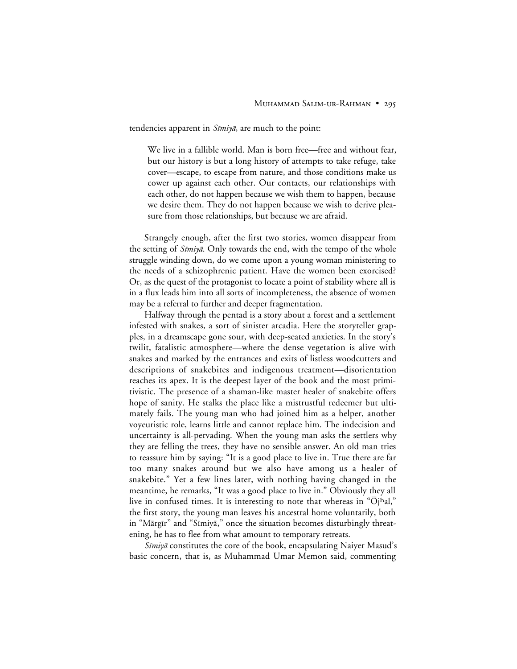tendencies apparent in  $\delta m \dot{\psi}$ , are much to the point:

We live in a fallible world. Man is born free—free and without fear, but our history is but a long history of attempts to take refuge, take cover—escape, to escape from nature, and those conditions make us cower up against each other. Our contacts, our relationships with each other, do not happen because we wish them to happen, because we desire them. They do not happen because we wish to derive pleasure from those relationships, but because we are afraid.

Strangely enough, after the first two stories, women disappear from the setting of *Sīmiyā*. Only towards the end, with the tempo of the whole struggle winding down, do we come upon a young woman ministering to the needs of a schizophrenic patient. Have the women been exorcised? Or, as the quest of the protagonist to locate a point of stability where all is in a flux leads him into all sorts of incompleteness, the absence of women may be a referral to further and deeper fragmentation.

Halfway through the pentad is a story about a forest and a settlement infested with snakes, a sort of sinister arcadia. Here the storyteller grapples, in a dreamscape gone sour, with deep-seated anxieties. In the story's twilit, fatalistic atmosphere—where the dense vegetation is alive with snakes and marked by the entrances and exits of listless woodcutters and descriptions of snakebites and indigenous treatment—disorientation reaches its apex. It is the deepest layer of the book and the most primitivistic. The presence of a shaman-like master healer of snakebite offers hope of sanity. He stalks the place like a mistrustful redeemer but ultimately fails. The young man who had joined him as a helper, another voyeuristic role, learns little and cannot replace him. The indecision and uncertainty is all-pervading. When the young man asks the settlers why they are felling the trees, they have no sensible answer. An old man tries to reassure him by saying: "It is a good place to live in. True there are far too many snakes around but we also have among us a healer of snakebite." Yet a few lines later, with nothing having changed in the meantime, he remarks, "It was a good place to live in." Obviously they all live in confused times. It is interesting to note that whereas in " $\overline{O}$ jhal," the first story, the young man leaves his ancestral home voluntarily, both in "Mārgīr" and "Sīmiyā," once the situation becomes disturbingly threatening, he has to flee from what amount to temporary retreats.

 $Simiy\bar{a}$  constitutes the core of the book, encapsulating Naiyer Masud's basic concern, that is, as Muhammad Umar Memon said, commenting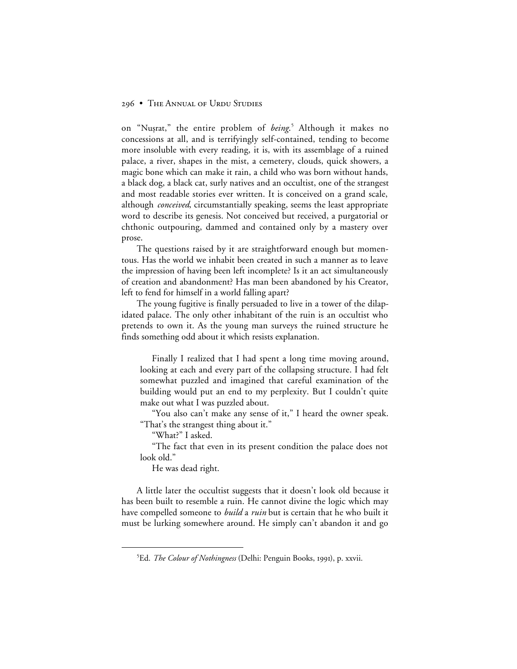on "Nuṣrat," the entire problem of *being*.<sup>5</sup> Although it makes no concessions at all, and is terrifyingly self-contained, tending to become more insoluble with every reading, it is, with its assemblage of a ruined palace, a river, shapes in the mist, a cemetery, clouds, quick showers, a magic bone which can make it rain, a child who was born without hands, a black dog, a black cat, surly natives and an occultist, one of the strangest and most readable stories ever written. It is conceived on a grand scale, although *conceived*, circumstantially speaking, seems the least appropriate word to describe its genesis. Not conceived but received, a purgatorial or chthonic outpouring, dammed and contained only by a mastery over prose.

The questions raised by it are straightforward enough but momentous. Has the world we inhabit been created in such a manner as to leave the impression of having been left incomplete? Is it an act simultaneously of creation and abandonment? Has man been abandoned by his Creator, left to fend for himself in a world falling apart?

The young fugitive is finally persuaded to live in a tower of the dilapidated palace. The only other inhabitant of the ruin is an occultist who pretends to own it. As the young man surveys the ruined structure he finds something odd about it which resists explanation.

Finally I realized that I had spent a long time moving around, looking at each and every part of the collapsing structure. I had felt somewhat puzzled and imagined that careful examination of the building would put an end to my perplexity. But I couldn't quite make out what I was puzzled about.

"You also can't make any sense of it," I heard the owner speak. "That's the strangest thing about it."

"What?" I asked.

"The fact that even in its present condition the palace does not look old."

He was dead right.

A little later the occultist suggests that it doesn't look old because it has been built to resemble a ruin. He cannot divine the logic which may have compelled someone to *build* a *ruin* but is certain that he who built it must be lurking somewhere around. He simply can't abandon it and go

 $rac{1}{5}$ <sup>5</sup>Ed. *The Colour of Nothingness* (Delhi: Penguin Books, 1991), p. xxvii.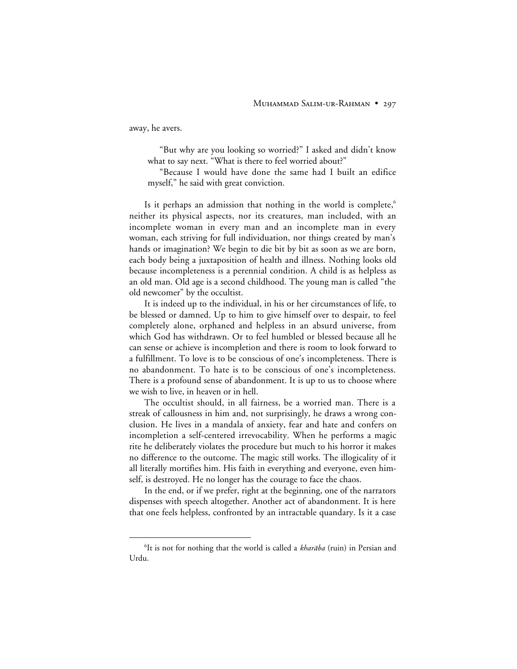away, he avers.

"But why are you looking so worried?" I asked and didn't know what to say next. "What is there to feel worried about?"

"Because I would have done the same had I built an edifice myself," he said with great conviction.

Is it perhaps an admission that nothing in the world is complete, $6$ neither its physical aspects, nor its creatures, man included, with an incomplete woman in every man and an incomplete man in every woman, each striving for full individuation, nor things created by man's hands or imagination? We begin to die bit by bit as soon as we are born, each body being a juxtaposition of health and illness. Nothing looks old because incompleteness is a perennial condition. A child is as helpless as an old man. Old age is a second childhood. The young man is called "the old newcomer" by the occultist.

It is indeed up to the individual, in his or her circumstances of life, to be blessed or damned. Up to him to give himself over to despair, to feel completely alone, orphaned and helpless in an absurd universe, from which God has withdrawn. Or to feel humbled or blessed because all he can sense or achieve is incompletion and there is room to look forward to a fulfillment. To love is to be conscious of one's incompleteness. There is no abandonment. To hate is to be conscious of one's incompleteness. There is a profound sense of abandonment. It is up to us to choose where we wish to live, in heaven or in hell.

The occultist should, in all fairness, be a worried man. There is a streak of callousness in him and, not surprisingly, he draws a wrong conclusion. He lives in a mandala of anxiety, fear and hate and confers on incompletion a self-centered irrevocability. When he performs a magic rite he deliberately violates the procedure but much to his horror it makes no difference to the outcome. The magic still works. The illogicality of it all literally mortifies him. His faith in everything and everyone, even himself, is destroyed. He no longer has the courage to face the chaos.

In the end, or if we prefer, right at the beginning, one of the narrators dispenses with speech altogether. Another act of abandonment. It is here that one feels helpless, confronted by an intractable quandary. Is it a case

 <sup>6</sup>  ${}^{6}$ It is not for nothing that the world is called a kharāba (ruin) in Persian and Urdu.